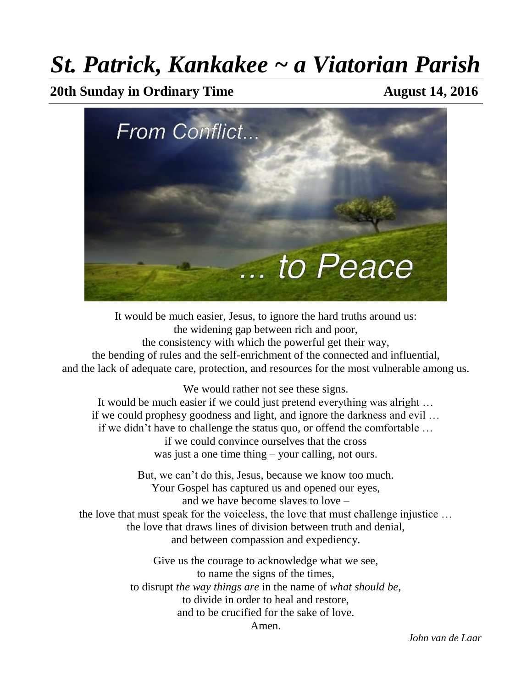# *St. Patrick, Kankakee ~ a Viatorian Parish*

**20th Sunday in Ordinary Time August 14, 2016** 



It would be much easier, Jesus, to ignore the hard truths around us: the widening gap between rich and poor, the consistency with which the powerful get their way, the bending of rules and the self-enrichment of the connected and influential, and the lack of adequate care, protection, and resources for the most vulnerable among us.

We would rather not see these signs.

It would be much easier if we could just pretend everything was alright … if we could prophesy goodness and light, and ignore the darkness and evil … if we didn't have to challenge the status quo, or offend the comfortable … if we could convince ourselves that the cross was just a one time thing – your calling, not ours.

But, we can't do this, Jesus, because we know too much. Your Gospel has captured us and opened our eyes, and we have become slaves to love – the love that must speak for the voiceless, the love that must challenge injustice … the love that draws lines of division between truth and denial, and between compassion and expediency.

> Give us the courage to acknowledge what we see, to name the signs of the times, to disrupt *the way things are* in the name of *what should be*, to divide in order to heal and restore, and to be crucified for the sake of love. Amen.

> > *John van de Laar*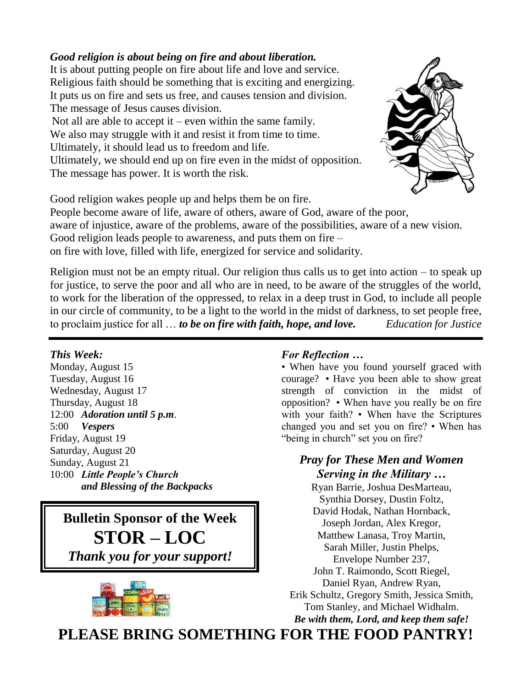#### *Good religion is about being on fire and about liberation.*

It is about putting people on fire about life and love and service. Religious faith should be something that is exciting and energizing. It puts us on fire and sets us free, and causes tension and division. The message of Jesus causes division.

Not all are able to accept it – even within the same family. We also may struggle with it and resist it from time to time. Ultimately, it should lead us to freedom and life. Ultimately, we should end up on fire even in the midst of opposition.

The message has power. It is worth the risk.



Good religion wakes people up and helps them be on fire.

People become aware of life, aware of others, aware of God, aware of the poor, aware of injustice, aware of the problems, aware of the possibilities, aware of a new vision. Good religion leads people to awareness, and puts them on fire – on fire with love, filled with life, energized for service and solidarity.

Religion must not be an empty ritual. Our religion thus calls us to get into action  $-$  to speak up for justice, to serve the poor and all who are in need, to be aware of the struggles of the world, to work for the liberation of the oppressed, to relax in a deep trust in God, to include all people in our circle of community, to be a light to the world in the midst of darkness, to set people free, to proclaim justice for all … *to be on fire with faith, hope, and love. Education for Justice*

#### *This Week:*

Monday, August 15 Tuesday, August 16 Wednesday, August 17 Thursday, August 18 12:00 *Adoration until 5 p.m*. 5:00 *Vespers* Friday, August 19 Saturday, August 20 Sunday, August 21 10:00 *Little People's Church and Blessing of the Backpacks* 

# **Bulletin Sponsor of the Week STOR – LOC** *Thank you for your support!*



#### *For Reflection …*

• When have you found yourself graced with courage? • Have you been able to show great strength of conviction in the midst of opposition? • When have you really be on fire with your faith? • When have the Scriptures changed you and set you on fire? • When has "being in church" set you on fire?

### *Pray for These Men and Women Serving in the Military …*

Ryan Barrie, Joshua DesMarteau, Synthia Dorsey, Dustin Foltz, David Hodak, Nathan Hornback, Joseph Jordan, Alex Kregor, Matthew Lanasa, Troy Martin, Sarah Miller, Justin Phelps, Envelope Number 237, John T. Raimondo, Scott Riegel, Daniel Ryan, Andrew Ryan, Erik Schultz, Gregory Smith, Jessica Smith, Tom Stanley, and Michael Widhalm. *Be with them, Lord, and keep them safe!*

**PLEASE BRING SOMETHING FOR THE FOOD PANTRY!**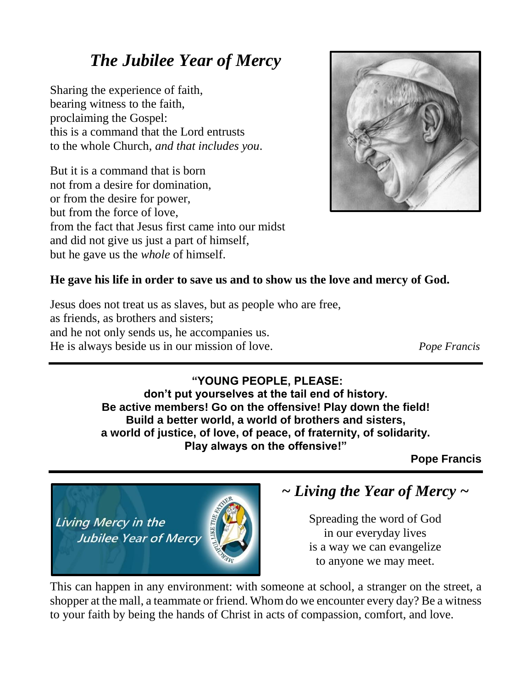# *The Jubilee Year of Mercy*

Sharing the experience of faith, bearing witness to the faith, proclaiming the Gospel: this is a command that the Lord entrusts to the whole Church, *and that includes you*.

But it is a command that is born not from a desire for domination, or from the desire for power, but from the force of love, from the fact that Jesus first came into our midst and did not give us just a part of himself, but he gave us the *whole* of himself.



### **He gave his life in order to save us and to show us the love and mercy of God.**

Jesus does not treat us as slaves, but as people who are free, as friends, as brothers and sisters; and he not only sends us, he accompanies us. He is always beside us in our mission of love. *Pope Francis*

### **"YOUNG PEOPLE, PLEASE:**

**don't put yourselves at the tail end of history. Be active members! Go on the offensive! Play down the field! Build a better world, a world of brothers and sisters, a world of justice, of love, of peace, of fraternity, of solidarity. Play always on the offensive!"**

**Pope Francis**

Living Mercy in the **Jubilee Year of Mercy** 



*~ Living the Year of Mercy ~* 

Spreading the word of God in our everyday lives is a way we can evangelize to anyone we may meet.

This can happen in any environment: with someone at school, a stranger on the street, a shopper at the mall, a teammate or friend. Whom do we encounter every day? Be a witness to your faith by being the hands of Christ in acts of compassion, comfort, and love.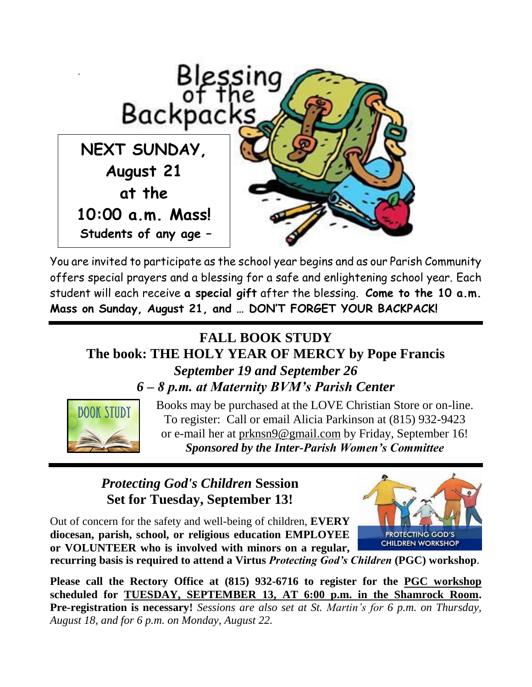

You are invited to participate as the school year begins and as our Parish Community offers special prayers and a blessing for a safe and enlightening school year. Each student will each receive **a special gift** after the blessing. **Come to the 10 a.m. Mass on Sunday, August 21, and … DON'T FORGET YOUR BACKPACK!**

# **FALL BOOK STUDY The book: THE HOLY YEAR OF MERCY by Pope Francis** *September 19 and September 26 6 – 8 p.m. at Maternity BVM's Parish Center*



Books may be purchased at the LOVE Christian Store or on-line. To register: Call or email Alicia Parkinson at (815) 932-9423 or e-mail her at [prknsn9@gmail.com](mailto:prknsn9@gmail.com) by Friday, September 16! *Sponsored by the Inter-Parish Women's Committee*

# *Protecting God's Children* **Session Set for Tuesday, September 13!**

Out of concern for the safety and well-being of children, **EVERY diocesan, parish, school, or religious education EMPLOYEE or VOLUNTEER who is involved with minors on a regular,** 



**recurring basis is required to attend a Virtus** *Protecting God's Children* **(PGC) workshop**.

**Please call the Rectory Office at (815) 932-6716 to register for the PGC workshop scheduled for TUESDAY, SEPTEMBER 13, AT 6:00 p.m. in the Shamrock Room. Pre-registration is necessary!** *Sessions are also set at St. Martin's for 6 p.m. on Thursday, August 18, and for 6 p.m. on Monday, August 22.*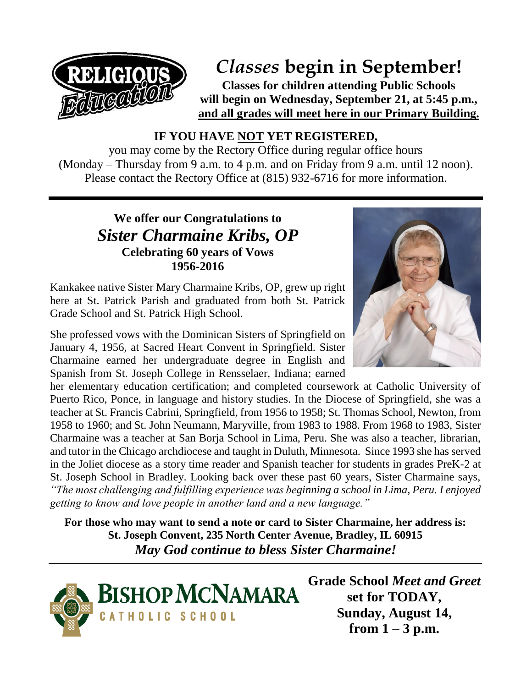

# *Classes* **begin in September!**

**Classes for children attending Public Schools will begin on Wednesday, September 21, at 5:45 p.m., and all grades will meet here in our Primary Building.**

**IF YOU HAVE NOT YET REGISTERED,**

you may come by the Rectory Office during regular office hours (Monday – Thursday from 9 a.m. to 4 p.m. and on Friday from 9 a.m. until 12 noon). Please contact the Rectory Office at (815) 932-6716 for more information.

## **We offer our Congratulations to** *Sister Charmaine Kribs, OP* **Celebrating 60 years of Vows 1956-2016**

Kankakee native Sister Mary Charmaine Kribs, OP, grew up right here at St. Patrick Parish and graduated from both St. Patrick Grade School and St. Patrick High School.

She professed vows with the Dominican Sisters of Springfield on January 4, 1956, at Sacred Heart Convent in Springfield. Sister Charmaine earned her undergraduate degree in English and Spanish from St. Joseph College in Rensselaer, Indiana; earned

her elementary education certification; and completed coursework at Catholic University of Puerto Rico, Ponce, in language and history studies. In the Diocese of Springfield, she was a teacher at St. Francis Cabrini, Springfield, from 1956 to 1958; St. Thomas School, Newton, from 1958 to 1960; and St. John Neumann, Maryville, from 1983 to 1988. From 1968 to 1983, Sister Charmaine was a teacher at San Borja School in Lima, Peru. She was also a teacher, librarian, and tutor in the Chicago archdiocese and taught in Duluth, Minnesota. Since 1993 she has served in the Joliet diocese as a story time reader and Spanish teacher for students in grades PreK-2 at St. Joseph School in Bradley. Looking back over these past 60 years, Sister Charmaine says, *"The most challenging and fulfilling experience was beginning a school in Lima, Peru. I enjoyed getting to know and love people in another land and a new language."*

**For those who may want to send a note or card to Sister Charmaine, her address is: St. Joseph Convent, 235 North Center Avenue, Bradley, IL 60915** *May God continue to bless Sister Charmaine!* 





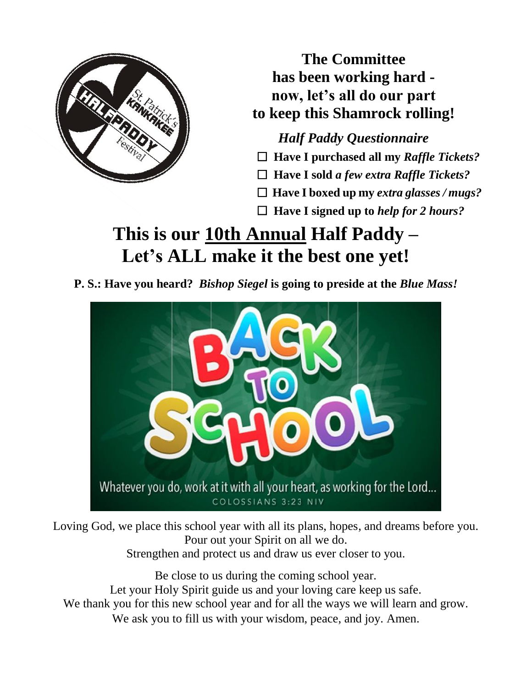

**The Committee has been working hard now, let's all do our part to keep this Shamrock rolling!**

*Half Paddy Questionnaire*  **Have I purchased all my** *Raffle Tickets?*

 **Have I sold** *a few extra Raffle Tickets?*

 **Have I boxed up my** *extra glasses / mugs?*

 **Have I signed up to** *help for 2 hours?*

# **This is our 10th Annual Half Paddy – Let's ALL make it the best one yet!**

**P. S.: Have you heard?** *Bishop Siegel* **is going to preside at the** *Blue Mass!*



Loving God, we place this school year with all its plans, hopes, and dreams before you. Pour out your Spirit on all we do. Strengthen and protect us and draw us ever closer to you.

Be close to us during the coming school year. Let your Holy Spirit guide us and your loving care keep us safe. We thank you for this new school year and for all the ways we will learn and grow. We ask you to fill us with your wisdom, peace, and joy. Amen.